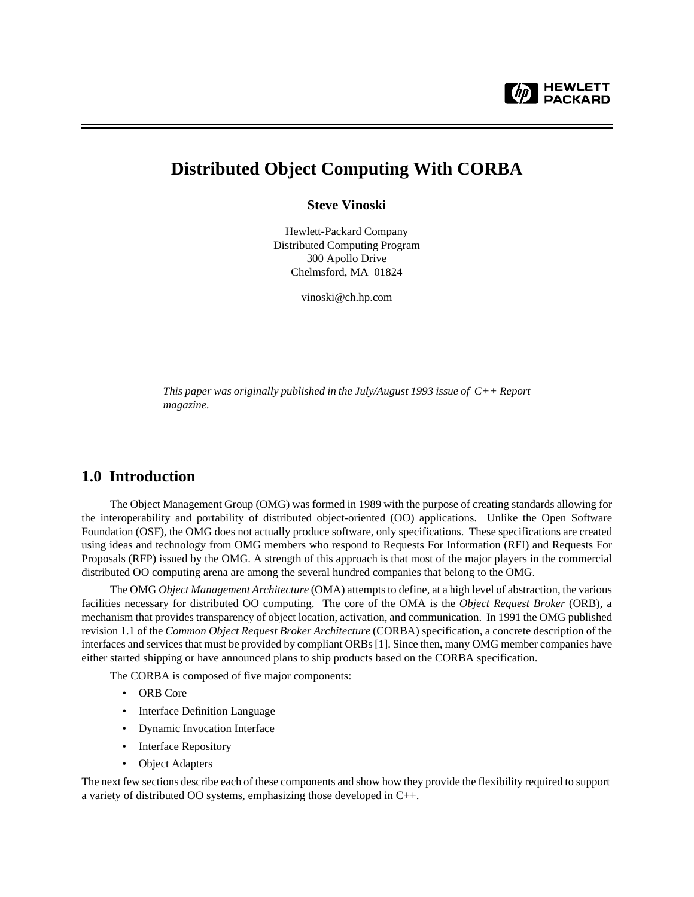# **Distributed Object Computing With CORBA**

**Steve Vinoski**

Hewlett-Packard Company Distributed Computing Program 300 Apollo Drive Chelmsford, MA 01824

vinoski@ch.hp.com

*This paper was originally published in the July/August 1993 issue of C++ Report magazine.*

### **1.0 Introduction**

The Object Management Group (OMG) was formed in 1989 with the purpose of creating standards allowing for the interoperability and portability of distributed object-oriented (OO) applications. Unlike the Open Software Foundation (OSF), the OMG does not actually produce software, only specifications. These specifications are created using ideas and technology from OMG members who respond to Requests For Information (RFI) and Requests For Proposals (RFP) issued by the OMG. A strength of this approach is that most of the major players in the commercial distributed OO computing arena are among the several hundred companies that belong to the OMG.

The OMG *Object Management Architecture* (OMA) attempts to define, at a high level of abstraction, the various facilities necessary for distributed OO computing. The core of the OMA is the *Object Request Broker* (ORB), a mechanism that provides transparency of object location, activation, and communication. In 1991 the OMG published revision 1.1 of the *Common Object Request Broker Architecture* (CORBA) specification, a concrete description of the interfaces and services that must be provided by compliant ORBs [1]. Since then, many OMG member companies have either started shipping or have announced plans to ship products based on the CORBA specification.

The CORBA is composed of five major components:

- ORB Core
- Interface Definition Language
- Dynamic Invocation Interface
- Interface Repository
- Object Adapters

The next few sections describe each of these components and show how they provide the flexibility required to support a variety of distributed OO systems, emphasizing those developed in C++.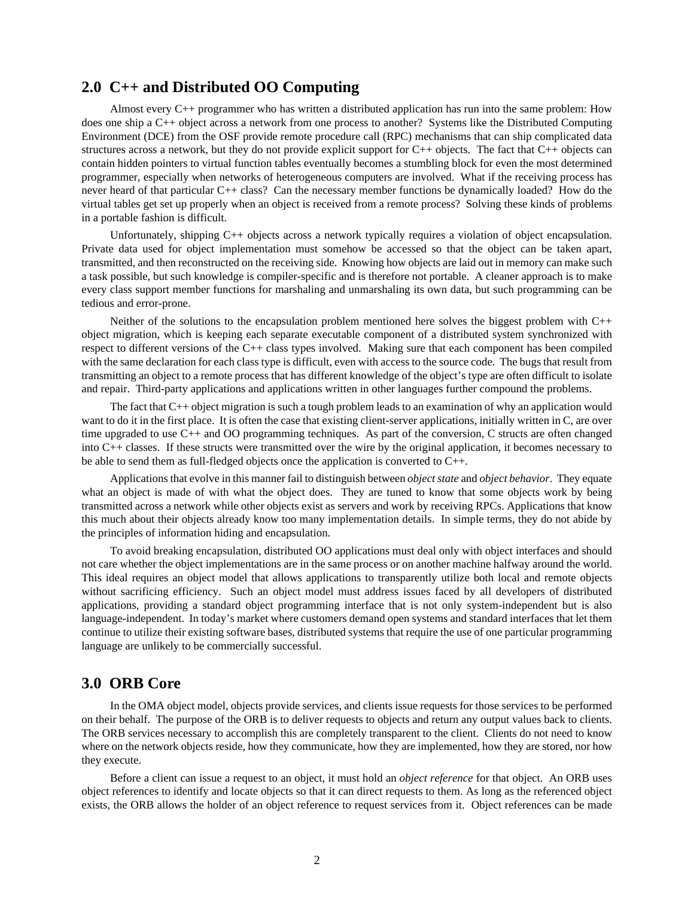### **2.0 C++ and Distributed OO Computing**

Almost every C++ programmer who has written a distributed application has run into the same problem: How does one ship a C++ object across a network from one process to another? Systems like the Distributed Computing Environment (DCE) from the OSF provide remote procedure call (RPC) mechanisms that can ship complicated data structures across a network, but they do not provide explicit support for C++ objects. The fact that C++ objects can contain hidden pointers to virtual function tables eventually becomes a stumbling block for even the most determined programmer, especially when networks of heterogeneous computers are involved. What if the receiving process has never heard of that particular C++ class? Can the necessary member functions be dynamically loaded? How do the virtual tables get set up properly when an object is received from a remote process? Solving these kinds of problems in a portable fashion is difficult.

Unfortunately, shipping C++ objects across a network typically requires a violation of object encapsulation. Private data used for object implementation must somehow be accessed so that the object can be taken apart, transmitted, and then reconstructed on the receiving side. Knowing how objects are laid out in memory can make such a task possible, but such knowledge is compiler-specific and is therefore not portable. A cleaner approach is to make every class support member functions for marshaling and unmarshaling its own data, but such programming can be tedious and error-prone.

Neither of the solutions to the encapsulation problem mentioned here solves the biggest problem with C++ object migration, which is keeping each separate executable component of a distributed system synchronized with respect to different versions of the C++ class types involved. Making sure that each component has been compiled with the same declaration for each class type is difficult, even with access to the source code. The bugs that result from transmitting an object to a remote process that has different knowledge of the object's type are often difficult to isolate and repair. Third-party applications and applications written in other languages further compound the problems.

The fact that C++ object migration is such a tough problem leads to an examination of why an application would want to do it in the first place. It is often the case that existing client-server applications, initially written in C, are over time upgraded to use C++ and OO programming techniques. As part of the conversion, C structs are often changed into C++ classes. If these structs were transmitted over the wire by the original application, it becomes necessary to be able to send them as full-fledged objects once the application is converted to C++.

Applications that evolve in this manner fail to distinguish between *object state* and *object behavior*. They equate what an object is made of with what the object does. They are tuned to know that some objects work by being transmitted across a network while other objects exist as servers and work by receiving RPCs. Applications that know this much about their objects already know too many implementation details. In simple terms, they do not abide by the principles of information hiding and encapsulation.

To avoid breaking encapsulation, distributed OO applications must deal only with object interfaces and should not care whether the object implementations are in the same process or on another machine halfway around the world. This ideal requires an object model that allows applications to transparently utilize both local and remote objects without sacrificing efficiency. Such an object model must address issues faced by all developers of distributed applications, providing a standard object programming interface that is not only system-independent but is also language-independent. In today's market where customers demand open systems and standard interfaces that let them continue to utilize their existing software bases, distributed systems that require the use of one particular programming language are unlikely to be commercially successful.

### **3.0 ORB Core**

In the OMA object model, objects provide services, and clients issue requests for those services to be performed on their behalf. The purpose of the ORB is to deliver requests to objects and return any output values back to clients. The ORB services necessary to accomplish this are completely transparent to the client. Clients do not need to know where on the network objects reside, how they communicate, how they are implemented, how they are stored, nor how they execute.

Before a client can issue a request to an object, it must hold an *object reference* for that object. An ORB uses object references to identify and locate objects so that it can direct requests to them. As long as the referenced object exists, the ORB allows the holder of an object reference to request services from it. Object references can be made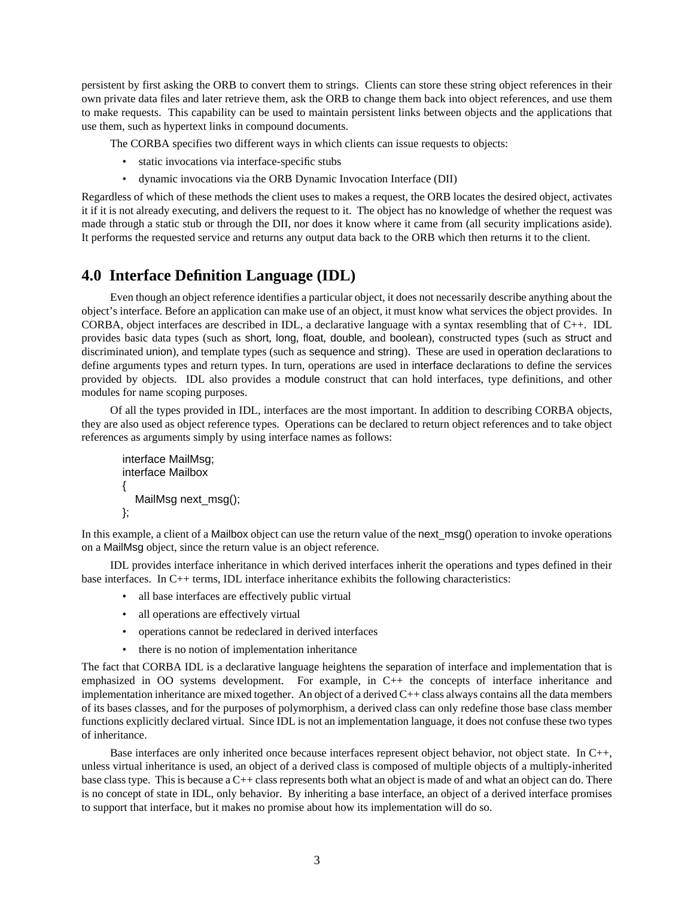persistent by first asking the ORB to convert them to strings. Clients can store these string object references in their own private data files and later retrieve them, ask the ORB to change them back into object references, and use them to make requests. This capability can be used to maintain persistent links between objects and the applications that use them, such as hypertext links in compound documents.

The CORBA specifies two different ways in which clients can issue requests to objects:

- static invocations via interface-specific stubs
- dynamic invocations via the ORB Dynamic Invocation Interface (DII)

Regardless of which of these methods the client uses to makes a request, the ORB locates the desired object, activates it if it is not already executing, and delivers the request to it. The object has no knowledge of whether the request was made through a static stub or through the DII, nor does it know where it came from (all security implications aside). It performs the requested service and returns any output data back to the ORB which then returns it to the client.

### **4.0 Interface Definition Language (IDL)**

Even though an object reference identifies a particular object, it does not necessarily describe anything about the object's interface. Before an application can make use of an object, it must know what services the object provides. In CORBA, object interfaces are described in IDL, a declarative language with a syntax resembling that of C++. IDL provides basic data types (such as short, long, float, double, and boolean), constructed types (such as struct and discriminated union), and template types (such as sequence and string). These are used in operation declarations to define arguments types and return types. In turn, operations are used in interface declarations to define the services provided by objects. IDL also provides a module construct that can hold interfaces, type definitions, and other modules for name scoping purposes.

Of all the types provided in IDL, interfaces are the most important. In addition to describing CORBA objects, they are also used as object reference types. Operations can be declared to return object references and to take object references as arguments simply by using interface names as follows:

```
interface MailMsg;
interface Mailbox
{
   MailMsg next_msg();
};
```
In this example, a client of a Mailbox object can use the return value of the next\_msg() operation to invoke operations on a MailMsg object, since the return value is an object reference.

IDL provides interface inheritance in which derived interfaces inherit the operations and types defined in their base interfaces. In C++ terms, IDL interface inheritance exhibits the following characteristics:

- all base interfaces are effectively public virtual
- all operations are effectively virtual
- operations cannot be redeclared in derived interfaces
- there is no notion of implementation inheritance

The fact that CORBA IDL is a declarative language heightens the separation of interface and implementation that is emphasized in OO systems development. For example, in C++ the concepts of interface inheritance and implementation inheritance are mixed together. An object of a derived C++ class always contains all the data members of its bases classes, and for the purposes of polymorphism, a derived class can only redefine those base class member functions explicitly declared virtual. Since IDL is not an implementation language, it does not confuse these two types of inheritance.

Base interfaces are only inherited once because interfaces represent object behavior, not object state. In C++, unless virtual inheritance is used, an object of a derived class is composed of multiple objects of a multiply-inherited base class type. This is because a C++ class represents both what an object is made of and what an object can do. There is no concept of state in IDL, only behavior. By inheriting a base interface, an object of a derived interface promises to support that interface, but it makes no promise about how its implementation will do so.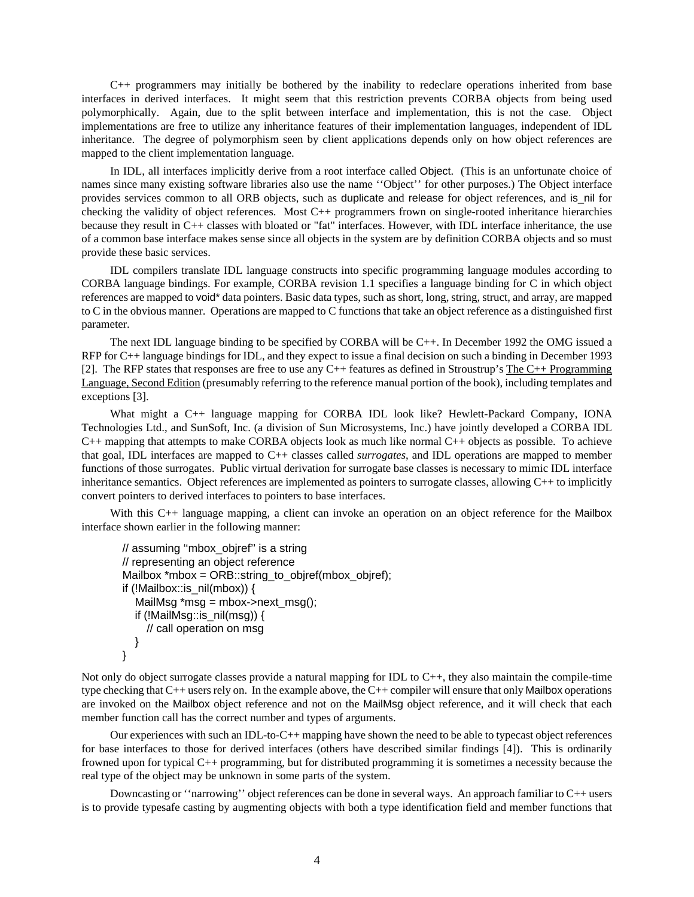C++ programmers may initially be bothered by the inability to redeclare operations inherited from base interfaces in derived interfaces. It might seem that this restriction prevents CORBA objects from being used polymorphically. Again, due to the split between interface and implementation, this is not the case. Object implementations are free to utilize any inheritance features of their implementation languages, independent of IDL inheritance. The degree of polymorphism seen by client applications depends only on how object references are mapped to the client implementation language.

In IDL, all interfaces implicitly derive from a root interface called Object. (This is an unfortunate choice of names since many existing software libraries also use the name ''Object'' for other purposes.) The Object interface provides services common to all ORB objects, such as duplicate and release for object references, and is\_nil for checking the validity of object references. Most C++ programmers frown on single-rooted inheritance hierarchies because they result in C++ classes with bloated or "fat" interfaces. However, with IDL interface inheritance, the use of a common base interface makes sense since all objects in the system are by definition CORBA objects and so must provide these basic services.

IDL compilers translate IDL language constructs into specific programming language modules according to CORBA language bindings. For example, CORBA revision 1.1 specifies a language binding for C in which object references are mapped to void\* data pointers. Basic data types, such as short, long, string, struct, and array, are mapped to C in the obvious manner. Operations are mapped to C functions that take an object reference as a distinguished first parameter.

The next IDL language binding to be specified by CORBA will be C++. In December 1992 the OMG issued a RFP for C++ language bindings for IDL, and they expect to issue a final decision on such a binding in December 1993 [2]. The RFP states that responses are free to use any  $C_{++}$  features as defined in Stroustrup's The  $C_{++}$  Programming Language, Second Edition (presumably referring to the reference manual portion of the book), including templates and exceptions [3].

What might a C++ language mapping for CORBA IDL look like? Hewlett-Packard Company, IONA Technologies Ltd., and SunSoft, Inc. (a division of Sun Microsystems, Inc.) have jointly developed a CORBA IDL C++ mapping that attempts to make CORBA objects look as much like normal C++ objects as possible. To achieve that goal, IDL interfaces are mapped to C++ classes called *surrogates*, and IDL operations are mapped to member functions of those surrogates. Public virtual derivation for surrogate base classes is necessary to mimic IDL interface inheritance semantics. Object references are implemented as pointers to surrogate classes, allowing C++ to implicitly convert pointers to derived interfaces to pointers to base interfaces.

With this C<sup>++</sup> language mapping, a client can invoke an operation on an object reference for the Mailbox interface shown earlier in the following manner:

```
// assuming ''mbox_objref'' is a string
// representing an object reference
Mailbox *mbox = ORB::string_to_objref(mbox_objref);
if (!Mailbox::is_nil(mbox)) {
  MailMsg *msg = mbox->next_msg();
   if (!MailMsg::is_nil(msg)) {
    // call operation on msg
   }
}
```
Not only do object surrogate classes provide a natural mapping for IDL to  $C_{++}$ , they also maintain the compile-time type checking that C++ users rely on. In the example above, the C++ compiler will ensure that only Mailbox operations are invoked on the Mailbox object reference and not on the MailMsg object reference, and it will check that each member function call has the correct number and types of arguments.

Our experiences with such an IDL-to-C++ mapping have shown the need to be able to typecast object references for base interfaces to those for derived interfaces (others have described similar findings [4]). This is ordinarily frowned upon for typical C++ programming, but for distributed programming it is sometimes a necessity because the real type of the object may be unknown in some parts of the system.

Downcasting or ''narrowing'' object references can be done in several ways. An approach familiar to C++ users is to provide typesafe casting by augmenting objects with both a type identification field and member functions that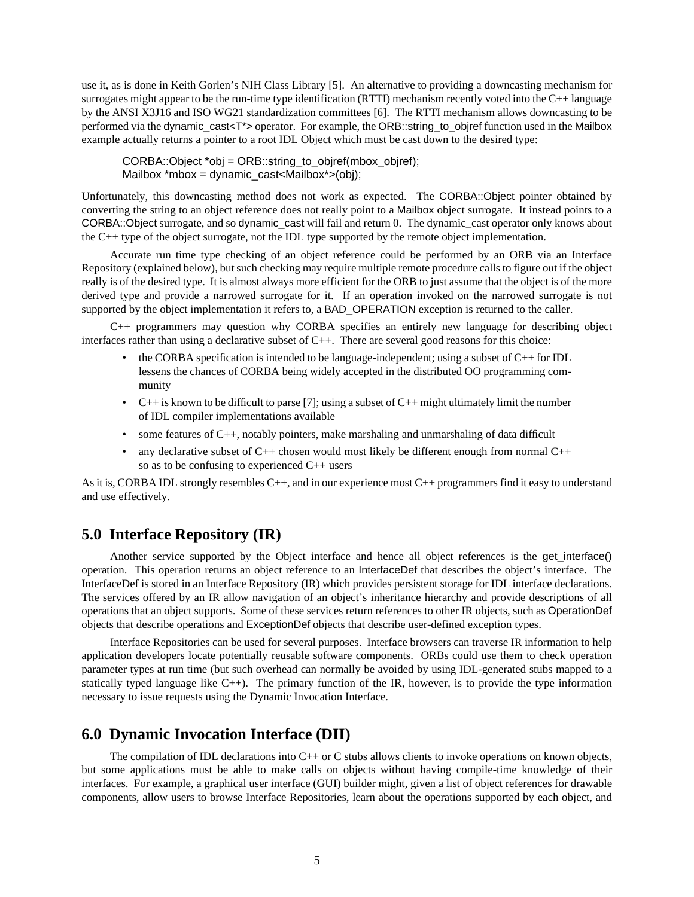use it, as is done in Keith Gorlen's NIH Class Library [5]. An alternative to providing a downcasting mechanism for surrogates might appear to be the run-time type identification (RTTI) mechanism recently voted into the C++ language by the ANSI X3J16 and ISO WG21 standardization committees [6]. The RTTI mechanism allows downcasting to be performed via the dynamic\_cast<T\*> operator. For example, the ORB::string\_to\_objref function used in the Mailbox example actually returns a pointer to a root IDL Object which must be cast down to the desired type:

CORBA::Object \*obj = ORB::string\_to\_objref(mbox\_objref); Mailbox \*mbox = dynamic\_cast<Mailbox\*>(obj);

Unfortunately, this downcasting method does not work as expected. The CORBA::Object pointer obtained by converting the string to an object reference does not really point to a Mailbox object surrogate. It instead points to a CORBA::Object surrogate, and so dynamic\_cast will fail and return 0. The dynamic\_cast operator only knows about the C++ type of the object surrogate, not the IDL type supported by the remote object implementation.

Accurate run time type checking of an object reference could be performed by an ORB via an Interface Repository (explained below), but such checking may require multiple remote procedure calls to figure out if the object really is of the desired type. It is almost always more efficient for the ORB to just assume that the object is of the more derived type and provide a narrowed surrogate for it. If an operation invoked on the narrowed surrogate is not supported by the object implementation it refers to, a BAD\_OPERATION exception is returned to the caller.

C++ programmers may question why CORBA specifies an entirely new language for describing object interfaces rather than using a declarative subset of  $C_{++}$ . There are several good reasons for this choice:

- the CORBA specification is intended to be language-independent; using a subset of  $C++$  for IDL lessens the chances of CORBA being widely accepted in the distributed OO programming community
- C++ is known to be difficult to parse [7]; using a subset of C++ might ultimately limit the number of IDL compiler implementations available
- some features of  $C_{++}$ , notably pointers, make marshaling and unmarshaling of data difficult
- any declarative subset of  $C_{++}$  chosen would most likely be different enough from normal  $C_{++}$ so as to be confusing to experienced C++ users

As it is, CORBA IDL strongly resembles  $C++$ , and in our experience most  $C++$  programmers find it easy to understand and use effectively.

### **5.0 Interface Repository (IR)**

Another service supported by the Object interface and hence all object references is the get\_interface() operation. This operation returns an object reference to an InterfaceDef that describes the object's interface. The InterfaceDef is stored in an Interface Repository (IR) which provides persistent storage for IDL interface declarations. The services offered by an IR allow navigation of an object's inheritance hierarchy and provide descriptions of all operations that an object supports. Some of these services return references to other IR objects, such as OperationDef objects that describe operations and ExceptionDef objects that describe user-defined exception types.

Interface Repositories can be used for several purposes. Interface browsers can traverse IR information to help application developers locate potentially reusable software components. ORBs could use them to check operation parameter types at run time (but such overhead can normally be avoided by using IDL-generated stubs mapped to a statically typed language like  $C_{++}$ ). The primary function of the IR, however, is to provide the type information necessary to issue requests using the Dynamic Invocation Interface.

#### **6.0 Dynamic Invocation Interface (DII)**

The compilation of IDL declarations into  $C++$  or C stubs allows clients to invoke operations on known objects, but some applications must be able to make calls on objects without having compile-time knowledge of their interfaces. For example, a graphical user interface (GUI) builder might, given a list of object references for drawable components, allow users to browse Interface Repositories, learn about the operations supported by each object, and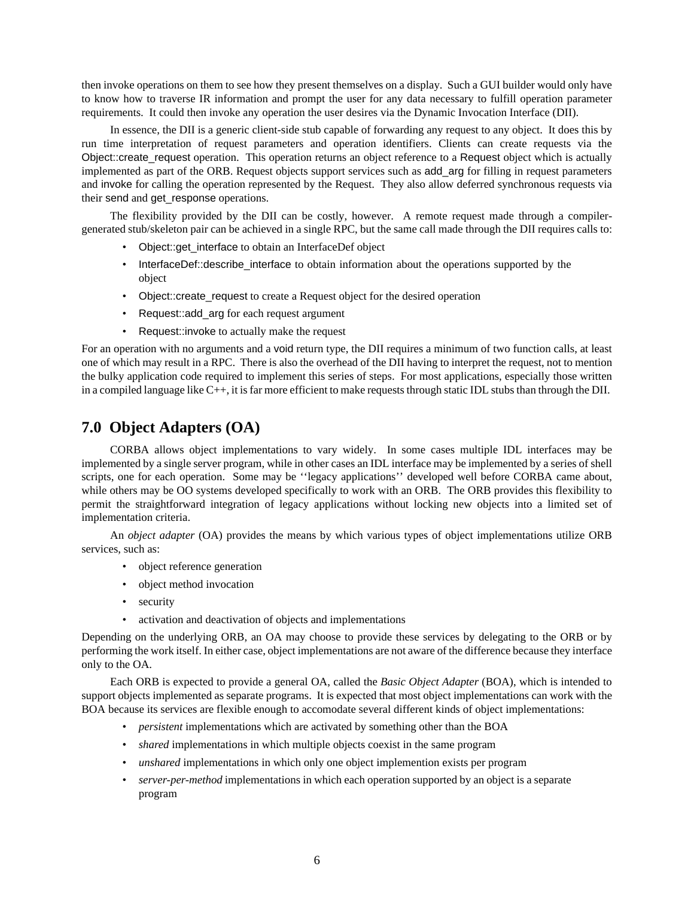then invoke operations on them to see how they present themselves on a display. Such a GUI builder would only have to know how to traverse IR information and prompt the user for any data necessary to fulfill operation parameter requirements. It could then invoke any operation the user desires via the Dynamic Invocation Interface (DII).

In essence, the DII is a generic client-side stub capable of forwarding any request to any object. It does this by run time interpretation of request parameters and operation identifiers. Clients can create requests via the Object::create\_request operation. This operation returns an object reference to a Request object which is actually implemented as part of the ORB. Request objects support services such as add\_arg for filling in request parameters and invoke for calling the operation represented by the Request. They also allow deferred synchronous requests via their send and get\_response operations.

The flexibility provided by the DII can be costly, however. A remote request made through a compilergenerated stub/skeleton pair can be achieved in a single RPC, but the same call made through the DII requires calls to:

- Object::get interface to obtain an InterfaceDef object
- InterfaceDef::describe\_interface to obtain information about the operations supported by the object
- Object::create request to create a Request object for the desired operation
- Request::add\_arg for each request argument
- Request::invoke to actually make the request

For an operation with no arguments and a void return type, the DII requires a minimum of two function calls, at least one of which may result in a RPC. There is also the overhead of the DII having to interpret the request, not to mention the bulky application code required to implement this series of steps. For most applications, especially those written in a compiled language like C++, it is far more efficient to make requests through static IDL stubs than through the DII.

## **7.0 Object Adapters (OA)**

CORBA allows object implementations to vary widely. In some cases multiple IDL interfaces may be implemented by a single server program, while in other cases an IDL interface may be implemented by a series of shell scripts, one for each operation. Some may be ''legacy applications'' developed well before CORBA came about, while others may be OO systems developed specifically to work with an ORB. The ORB provides this flexibility to permit the straightforward integration of legacy applications without locking new objects into a limited set of implementation criteria.

An *object adapter* (OA) provides the means by which various types of object implementations utilize ORB services, such as:

- object reference generation
- object method invocation
- security
- activation and deactivation of objects and implementations

Depending on the underlying ORB, an OA may choose to provide these services by delegating to the ORB or by performing the work itself. In either case, object implementations are not aware of the difference because they interface only to the OA.

Each ORB is expected to provide a general OA, called the *Basic Object Adapter* (BOA), which is intended to support objects implemented as separate programs. It is expected that most object implementations can work with the BOA because its services are flexible enough to accomodate several different kinds of object implementations:

- *persistent* implementations which are activated by something other than the BOA
- *shared* implementations in which multiple objects coexist in the same program
- *unshared* implementations in which only one object implemention exists per program
- *server-per-method* implementations in which each operation supported by an object is a separate program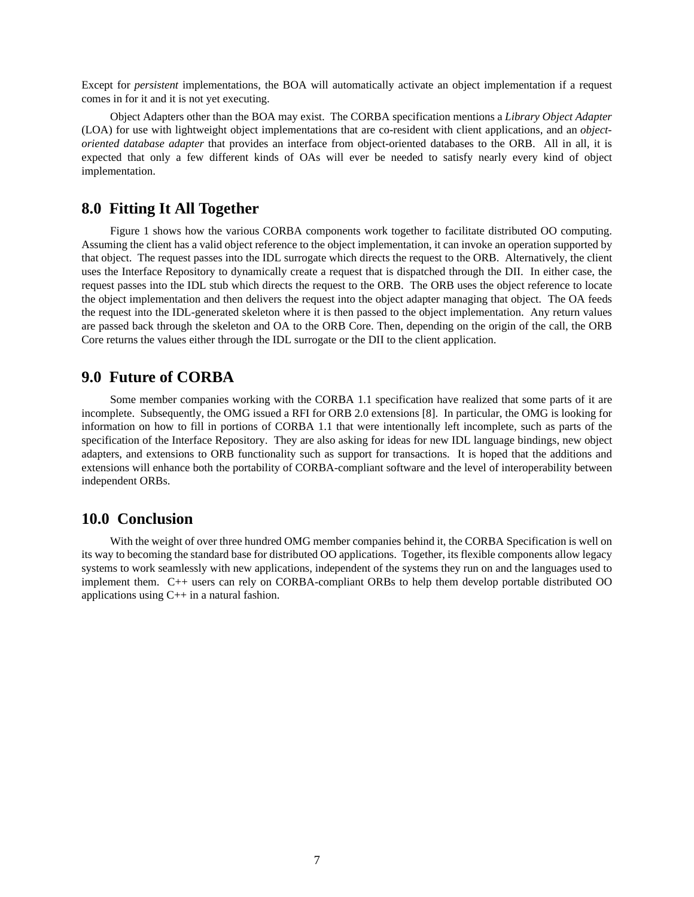Except for *persistent* implementations, the BOA will automatically activate an object implementation if a request comes in for it and it is not yet executing.

Object Adapters other than the BOA may exist. The CORBA specification mentions a *Library Object Adapter* (LOA) for use with lightweight object implementations that are co-resident with client applications, and an *objectoriented database adapter* that provides an interface from object-oriented databases to the ORB. All in all, it is expected that only a few different kinds of OAs will ever be needed to satisfy nearly every kind of object implementation.

### **8.0 Fitting It All Together**

Figure 1 shows how the various CORBA components work together to facilitate distributed OO computing. Assuming the client has a valid object reference to the object implementation, it can invoke an operation supported by that object. The request passes into the IDL surrogate which directs the request to the ORB. Alternatively, the client uses the Interface Repository to dynamically create a request that is dispatched through the DII. In either case, the request passes into the IDL stub which directs the request to the ORB. The ORB uses the object reference to locate the object implementation and then delivers the request into the object adapter managing that object. The OA feeds the request into the IDL-generated skeleton where it is then passed to the object implementation. Any return values are passed back through the skeleton and OA to the ORB Core. Then, depending on the origin of the call, the ORB Core returns the values either through the IDL surrogate or the DII to the client application.

### **9.0 Future of CORBA**

Some member companies working with the CORBA 1.1 specification have realized that some parts of it are incomplete. Subsequently, the OMG issued a RFI for ORB 2.0 extensions [8]. In particular, the OMG is looking for information on how to fill in portions of CORBA 1.1 that were intentionally left incomplete, such as parts of the specification of the Interface Repository. They are also asking for ideas for new IDL language bindings, new object adapters, and extensions to ORB functionality such as support for transactions. It is hoped that the additions and extensions will enhance both the portability of CORBA-compliant software and the level of interoperability between independent ORBs.

#### **10.0 Conclusion**

With the weight of over three hundred OMG member companies behind it, the CORBA Specification is well on its way to becoming the standard base for distributed OO applications. Together, its flexible components allow legacy systems to work seamlessly with new applications, independent of the systems they run on and the languages used to implement them. C++ users can rely on CORBA-compliant ORBs to help them develop portable distributed OO applications using C++ in a natural fashion.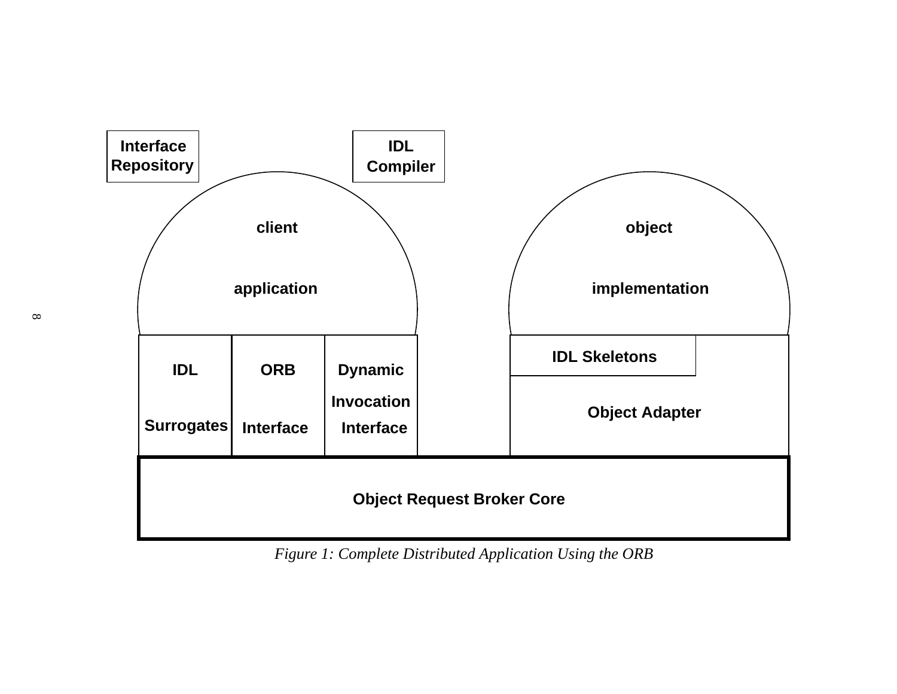

*Figure 1: Complete Distributed Application Using the ORB*